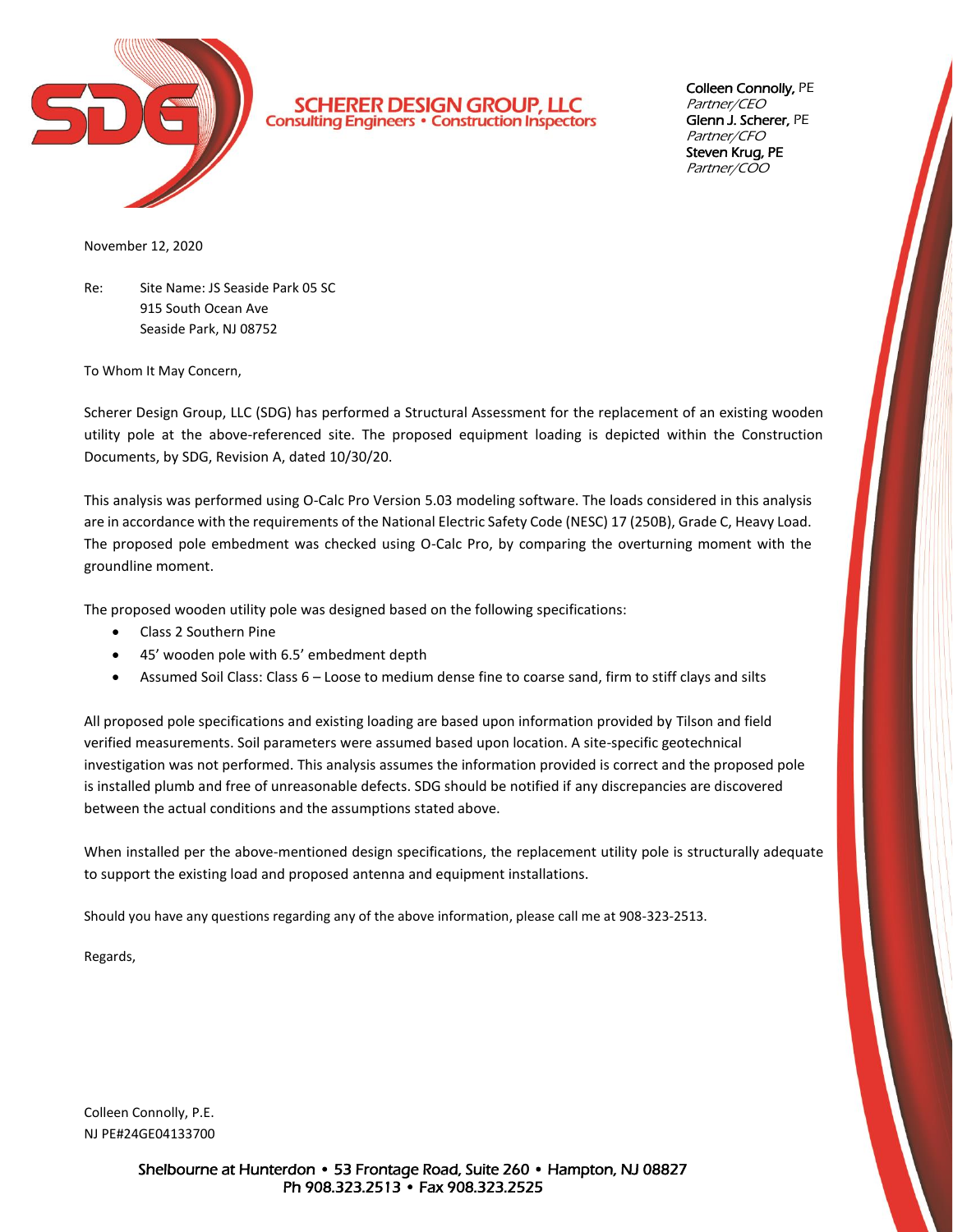

**SCHERER DESIGN GROUP, LLC**<br>Consulting Engineers . Construction Inspectors

Colleen Connolly, PE Partner/CEO Glenn J. Scherer, PE Partner/CFO Steven Krug, PE Partner/COO

November 12, 2020

Re: Site Name: JS Seaside Park 05 SC 915 South Ocean Ave Seaside Park, NJ 08752

To Whom It May Concern,

Scherer Design Group, LLC (SDG) has performed a Structural Assessment for the replacement of an existing wooden utility pole at the above-referenced site. The proposed equipment loading is depicted within the Construction Documents, by SDG, Revision A, dated 10/30/20.

This analysis was performed using O-Calc Pro Version 5.03 modeling software. The loads considered in this analysis are in accordance with the requirements of the National Electric Safety Code (NESC) 17 (250B), Grade C, Heavy Load. The proposed pole embedment was checked using O-Calc Pro, by comparing the overturning moment with the groundline moment.

The proposed wooden utility pole was designed based on the following specifications:

- Class 2 Southern Pine
- 45' wooden pole with 6.5' embedment depth
- Assumed Soil Class: Class 6 Loose to medium dense fine to coarse sand, firm to stiff clays and silts

All proposed pole specifications and existing loading are based upon information provided by Tilson and field verified measurements. Soil parameters were assumed based upon location. A site-specific geotechnical investigation was not performed. This analysis assumes the information provided is correct and the proposed pole is installed plumb and free of unreasonable defects. SDG should be notified if any discrepancies are discovered between the actual conditions and the assumptions stated above.

When installed per the above-mentioned design specifications, the replacement utility pole is structurally adequate to support the existing load and proposed antenna and equipment installations.

Should you have any questions regarding any of the above information, please call me at 908-323-2513.

Regards,

Colleen Connolly, P.E. NJ PE#24GE04133700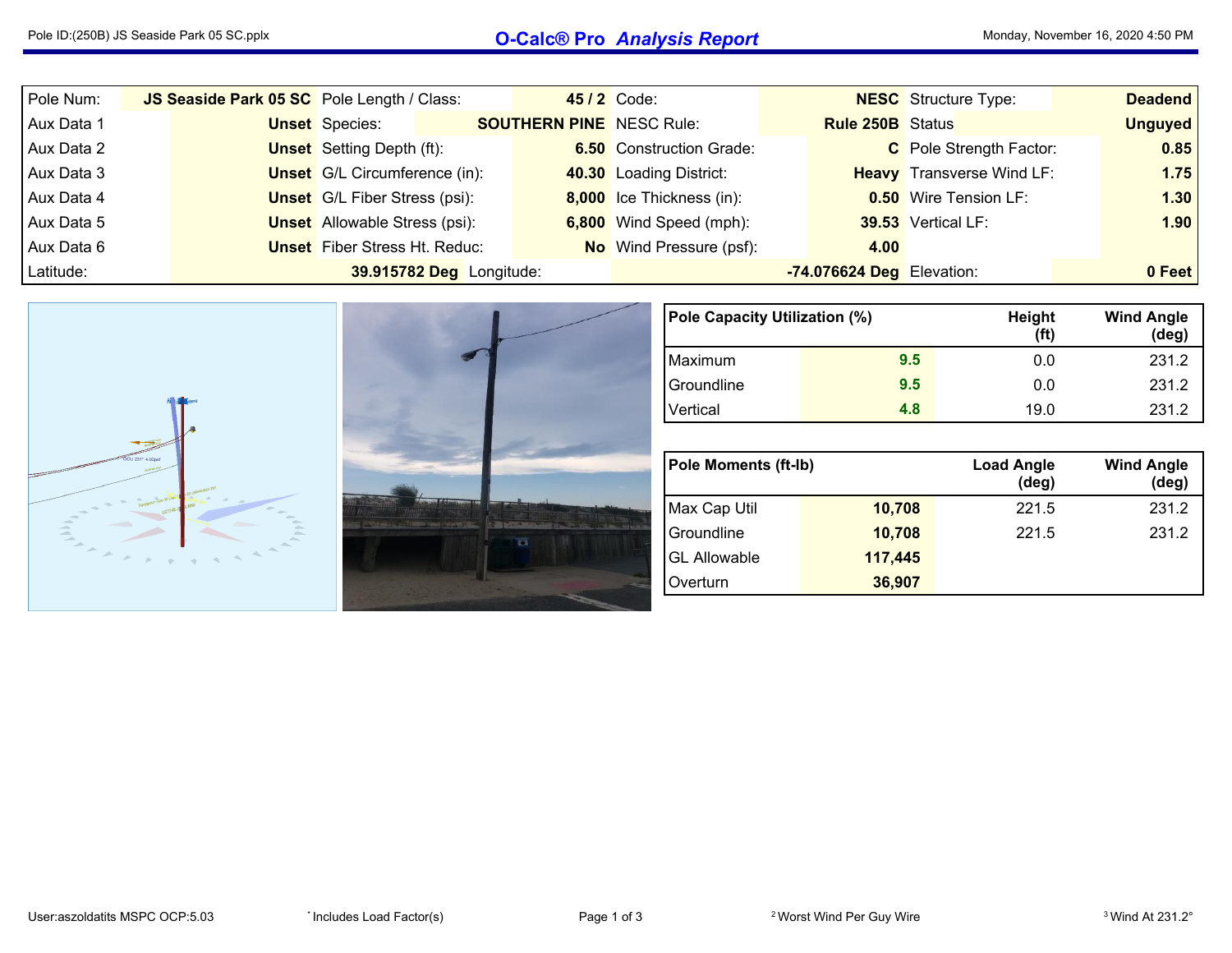## Pole ID:(250B) JS Seaside Park <sup>05</sup> SC.pplx **O-Calc® Pro** *Analysis Report* Monday, November 16, <sup>2020</sup> 4:50 PM

| Pole Num:  | JS Seaside Park 05 SC Pole Length / Class: |                                      |                                      | 45/2 Code:                      |                                 | <b>NESC</b> Structure Type: | <b>Deadend</b>                   |                |                              |      |
|------------|--------------------------------------------|--------------------------------------|--------------------------------------|---------------------------------|---------------------------------|-----------------------------|----------------------------------|----------------|------------------------------|------|
| Aux Data 1 |                                            | <b>Unset</b> Species:                |                                      | <b>SOUTHERN PINE</b> NESC Rule: |                                 | <b>Rule 250B</b> Status     |                                  | <b>Unguyed</b> |                              |      |
| Aux Data 2 |                                            |                                      | <b>Unset</b> Setting Depth (ft):     |                                 | <b>6.50</b> Construction Grade: |                             | C Pole Strength Factor:          | 0.85           |                              |      |
| Aux Data 3 |                                            | <b>Unset</b> G/L Circumference (in): |                                      |                                 | 40.30 Loading District:         |                             | <b>Heavy</b> Transverse Wind LF: | 1.75           |                              |      |
| Aux Data 4 |                                            |                                      | <b>Unset</b> G/L Fiber Stress (psi): |                                 |                                 |                             | 8,000 Ice Thickness (in):        |                | <b>0.50</b> Wire Tension LF: | 1.30 |
| Aux Data 5 |                                            | <b>Unset</b> Allowable Stress (psi): |                                      |                                 | 6,800 Wind Speed (mph):         |                             | 39.53 Vertical LF:               | 1.90           |                              |      |
| Aux Data 6 |                                            | <b>Unset</b> Fiber Stress Ht. Reduc: |                                      |                                 | <b>No</b> Wind Pressure (psf):  | 4.00                        |                                  |                |                              |      |
| Latitude:  |                                            |                                      | 39.915782 Deg Longitude:             |                                 |                                 | -74.076624 Deg Elevation:   |                                  | 0 Feet         |                              |      |



| Pole Capacity Utilization (%) |     | Height<br>(ft) | <b>Wind Angle</b><br>$(\text{deg})$ |
|-------------------------------|-----|----------------|-------------------------------------|
| Maximum                       | 9.5 | 0.0            | 231.2                               |
| Groundline                    | 9.5 | 0.0            | 231.2                               |
| Vertical                      | 4.8 | 19.0           | 231.2                               |

| <b>Pole Moments (ft-Ib)</b> |         | <b>Load Angle</b><br>$(\text{deg})$ | <b>Wind Angle</b><br>(deg) |  |  |  |
|-----------------------------|---------|-------------------------------------|----------------------------|--|--|--|
| Max Cap Util                | 10,708  | 221.5                               | 231.2                      |  |  |  |
| Groundline                  | 10,708  | 221.5                               | 231.2                      |  |  |  |
| <b>GL Allowable</b>         | 117.445 |                                     |                            |  |  |  |
| Overturn                    | 36,907  |                                     |                            |  |  |  |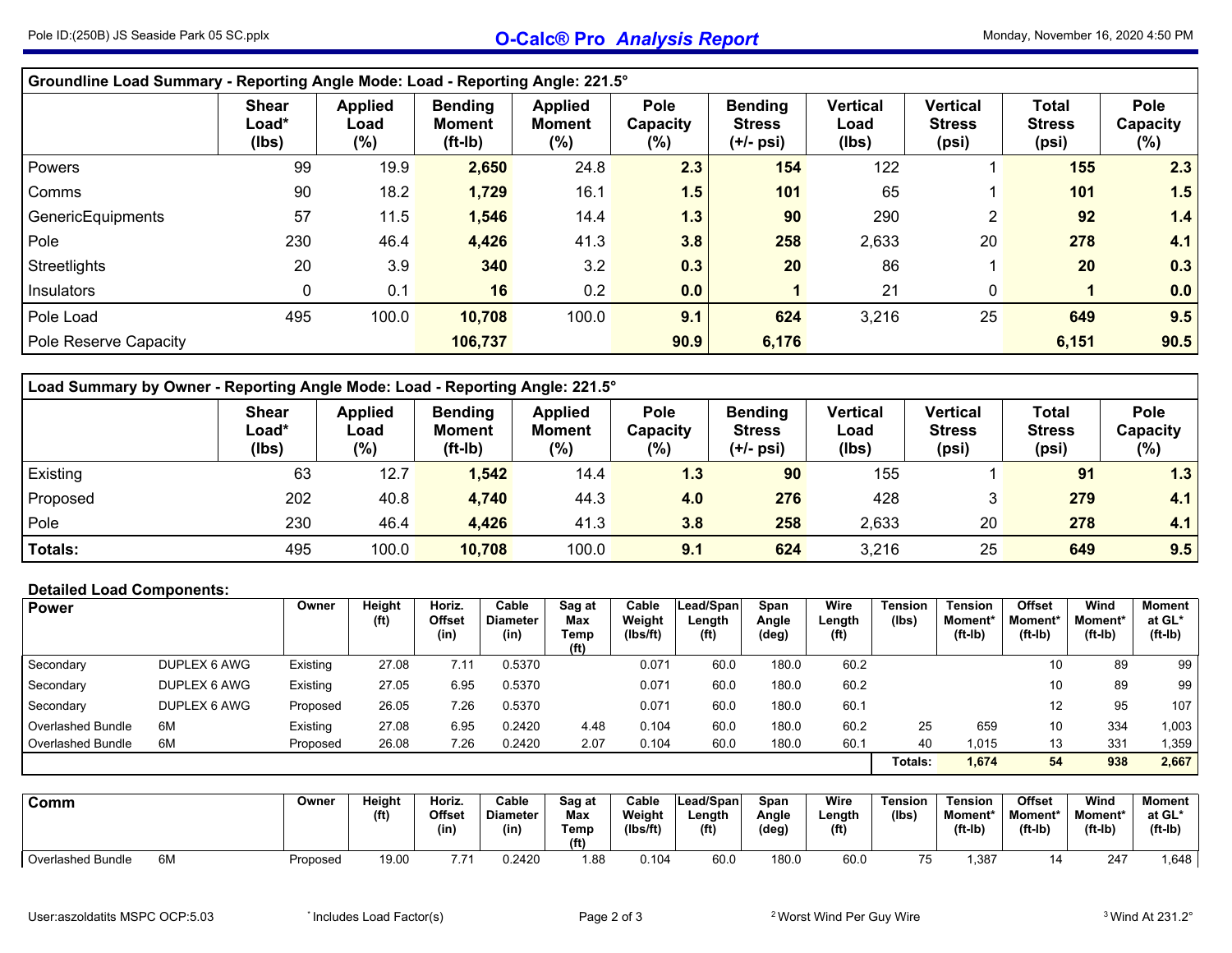## Pole ID:(250B) JS Seaside Park <sup>05</sup> SC.pplx **O-Calc® Pro** *Analysis Report* Monday, November 16, <sup>2020</sup> 4:50 PM

|                       | Groundline Load Summary - Reporting Angle Mode: Load - Reporting Angle: 221.5° |                               |                                              |                                           |                                   |                                                |                                  |                                           |                                        |                                   |  |  |  |  |  |
|-----------------------|--------------------------------------------------------------------------------|-------------------------------|----------------------------------------------|-------------------------------------------|-----------------------------------|------------------------------------------------|----------------------------------|-------------------------------------------|----------------------------------------|-----------------------------------|--|--|--|--|--|
|                       | <b>Shear</b><br>Load*<br>(Ibs)                                                 | <b>Applied</b><br>Load<br>(%) | <b>Bending</b><br><b>Moment</b><br>$(ft-lb)$ | <b>Applied</b><br><b>Moment</b><br>$(\%)$ | <b>Pole</b><br>Capacity<br>$(\%)$ | <b>Bending</b><br><b>Stress</b><br>$(+/-$ psi) | <b>Vertical</b><br>Load<br>(lbs) | <b>Vertical</b><br><b>Stress</b><br>(psi) | <b>Total</b><br><b>Stress</b><br>(psi) | <b>Pole</b><br>Capacity<br>$(\%)$ |  |  |  |  |  |
| Powers                | 99                                                                             | 19.9                          | 2,650                                        | 24.8                                      | 2.3                               | 154                                            | 122                              |                                           | 155                                    | 2.3                               |  |  |  |  |  |
| Comms                 | 90                                                                             | 18.2                          | 1,729                                        | 16.1                                      | 1.5                               | 101                                            | 65                               |                                           | 101                                    | 1.5                               |  |  |  |  |  |
| GenericEquipments     | 57                                                                             | 11.5                          | 1,546                                        | 14.4                                      | 1.3                               | 90                                             | 290                              | $\overline{2}$                            | 92                                     | 1.4                               |  |  |  |  |  |
| Pole                  | 230                                                                            | 46.4                          | 4,426                                        | 41.3                                      | 3.8                               | 258                                            | 2,633                            | 20                                        | 278                                    | 4.1                               |  |  |  |  |  |
| Streetlights          | 20                                                                             | 3.9                           | 340                                          | 3.2                                       | 0.3                               | 20                                             | 86                               |                                           | 20                                     | 0.3                               |  |  |  |  |  |
| Insulators            | 0                                                                              | 0.1                           | 16                                           | 0.2                                       | 0.0                               |                                                | 21                               | 0                                         |                                        | 0.0                               |  |  |  |  |  |
| Pole Load             | 495                                                                            | 100.0                         | 10,708                                       | 100.0                                     | 9.1                               | 624                                            | 3,216                            | 25                                        | 649                                    | 9.5                               |  |  |  |  |  |
| Pole Reserve Capacity |                                                                                |                               | 106,737                                      |                                           | 90.9                              | 6,176                                          |                                  |                                           | 6,151                                  | 90.5                              |  |  |  |  |  |

|          | Load Summary by Owner - Reporting Angle Mode: Load - Reporting Angle: 221.5° |                                  |                                             |                                           |                                |                                              |                                  |                                    |                                        |                            |  |  |  |  |  |
|----------|------------------------------------------------------------------------------|----------------------------------|---------------------------------------------|-------------------------------------------|--------------------------------|----------------------------------------------|----------------------------------|------------------------------------|----------------------------------------|----------------------------|--|--|--|--|--|
|          | <b>Shear</b><br>Load*<br>(Ibs)                                               | <b>Applied</b><br>Load<br>$(\%)$ | <b>Bending</b><br><b>Moment</b><br>$(ft-l)$ | <b>Applied</b><br><b>Moment</b><br>$(\%)$ | <b>Pole</b><br>Capacity<br>(%) | <b>Bending</b><br><b>Stress</b><br>(+/- psi) | <b>Vertical</b><br>Load<br>(lbs) | Vertical<br><b>Stress</b><br>(psi) | <b>Total</b><br><b>Stress</b><br>(psi) | Pole<br>Capacity<br>$(\%)$ |  |  |  |  |  |
| Existing | 63                                                                           | 12.7                             | 1,542                                       | 14.4                                      | 1.3                            | 90                                           | 155                              |                                    | 91                                     | 1.3                        |  |  |  |  |  |
| Proposed | 202                                                                          | 40.8                             | 4,740                                       | 44.3                                      | 4.0                            | 276                                          | 428                              | 3                                  | 279                                    | 4.1                        |  |  |  |  |  |
| Pole     | 230                                                                          | 46.4                             | 4,426                                       | 41.3                                      | 3.8                            | 258                                          | 2,633                            | 20                                 | 278                                    | 4.1                        |  |  |  |  |  |
| Totals:  | 495                                                                          | 100.0                            | 10,708                                      | 100.0                                     | 9.1                            | 624                                          | 3,216                            | 25                                 | 649                                    | 9.5                        |  |  |  |  |  |

## **Detailed Load Components:**

| <b>Power</b>             |              | Owner    | Height<br>(f <sup>t</sup> ) | Horiz.<br><b>Offset</b><br>(in) | Cable<br><b>Diameter</b><br>(in) | Sag at<br>Max<br>Temp<br>(f <sup>t</sup> ) | Cable<br>Weight<br>(Ibs/ft) | Lead/Span<br>Length<br>(f <sup>t</sup> ) | Span<br>Angle<br>(deg) | Wire<br>Length<br>(f <sup>t</sup> ) | <b>Tension</b><br>(Ibs) | <b>Tension</b><br>Moment*<br>$(ft-lb)$ | <b>Offset</b><br>Moment*<br>$(ft-lb)$ | Wind<br>Moment*<br>$(ft-lb)$ | Moment<br>at GL*<br>$(ft-lb)$ |
|--------------------------|--------------|----------|-----------------------------|---------------------------------|----------------------------------|--------------------------------------------|-----------------------------|------------------------------------------|------------------------|-------------------------------------|-------------------------|----------------------------------------|---------------------------------------|------------------------------|-------------------------------|
| Secondary                | DUPLEX 6 AWG | Existing | 27.08                       | $-.11$                          | 0.5370                           |                                            | 0.071                       | 60.0                                     | 180.0                  | 60.2                                |                         |                                        | 10                                    | 89                           | 99                            |
| Secondary                | DUPLEX 6 AWG | Existing | 27.05                       | 6.95                            | 0.5370                           |                                            | 0.071                       | 60.0                                     | 180.0                  | 60.2                                |                         |                                        | 10                                    | 89                           | 99                            |
| Secondary                | DUPLEX 6 AWG | Proposed | 26.05                       | 7.26                            | 0.5370                           |                                            | 0.071                       | 60.0                                     | 180.0                  | 60.1                                |                         |                                        | 12                                    | 95                           | 107.                          |
| <b>Overlashed Bundle</b> | 6M           | Existing | 27.08                       | 6.95                            | 0.2420                           | 4.48                                       | 0.104                       | 60.0                                     | 180.0                  | 60.2                                | 25                      | 659                                    | 10                                    | 334                          | .003                          |
| <b>Overlashed Bundle</b> | 6M           | Proposed | 26.08                       | 7.26                            | 0.2420                           | 2.07                                       | 0.104                       | 60.0                                     | 180.0                  | 60.1                                | 40                      | 1.015                                  | 13                                    | 331                          | 1,359                         |
|                          |              |          |                             |                                 |                                  |                                            |                             |                                          |                        |                                     | Totals:                 | 1,674                                  | 54                                    | 938                          | 2,667                         |

| Comm                           | Owner    | Height<br>(f <sup>t</sup> ) | Horiz.<br>Offset<br>(in) | Cable<br><b>Diameter</b><br>$^{\prime}$ in) | Sag at<br>Max<br>Temp<br>(f <sup>t</sup> ) | Cable<br>Weight<br>(Ibs/ft) | Lead/Spani<br>∟ength<br>(f <sup>t</sup> ) | Span<br>Angle<br>(deg) | Wire<br>Length<br>(f <sup>t</sup> ) | Tension<br>(lbs) | Tension<br>Moment*<br>$(ft-lb)$ | Offset<br>Moment*<br>$(ft-lb)$ | Wind<br><b>Moment*</b><br>$(ft-lb)$ | Moment<br>at GL*<br>(ft-Ib) |
|--------------------------------|----------|-----------------------------|--------------------------|---------------------------------------------|--------------------------------------------|-----------------------------|-------------------------------------------|------------------------|-------------------------------------|------------------|---------------------------------|--------------------------------|-------------------------------------|-----------------------------|
| 6M<br><b>Overlashed Bundle</b> | Proposed | 19.00                       | 7.71                     | 0.2420                                      | 1.88                                       | 0.104                       | 60.0                                      | 180.0                  | 60.(                                | ັບ               | ,387                            |                                | 247                                 | .648                        |